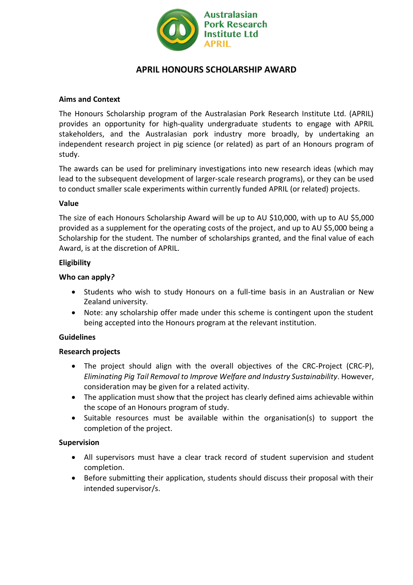

# **APRIL HONOURS SCHOLARSHIP AWARD**

## **Aims and Context**

The Honours Scholarship program of the Australasian Pork Research Institute Ltd. (APRIL) provides an opportunity for high-quality undergraduate students to engage with APRIL stakeholders, and the Australasian pork industry more broadly, by undertaking an independent research project in pig science (or related) as part of an Honours program of study.

The awards can be used for preliminary investigations into new research ideas (which may lead to the subsequent development of larger-scale research programs), or they can be used to conduct smaller scale experiments within currently funded APRIL (or related) projects.

## **Value**

The size of each Honours Scholarship Award will be up to AU \$10,000, with up to AU \$5,000 provided as a supplement for the operating costs of the project, and up to AU \$5,000 being a Scholarship for the student. The number of scholarships granted, and the final value of each Award, is at the discretion of APRIL.

## **Eligibility**

## **Who can apply***?*

- Students who wish to study Honours on a full-time basis in an Australian or New Zealand university.
- Note: any scholarship offer made under this scheme is contingent upon the student being accepted into the Honours program at the relevant institution.

#### **Guidelines**

#### **Research projects**

- The project should align with the overall objectives of the CRC-Project (CRC-P), *Eliminating Pig Tail Removal to Improve Welfare and Industry Sustainability*. However, consideration may be given for a related activity.
- The application must show that the project has clearly defined aims achievable within the scope of an Honours program of study.
- Suitable resources must be available within the organisation(s) to support the completion of the project.

#### **Supervision**

- All supervisors must have a clear track record of student supervision and student completion.
- Before submitting their application, students should discuss their proposal with their intended supervisor/s.